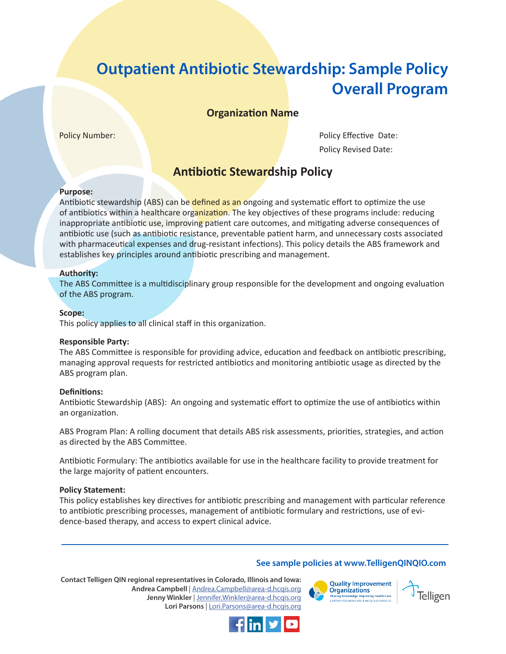# **Outpatient Antibiotic Stewardship: Sample Policy Overall Program**

**Organization Name**

Policy Number: Policy Effective Date: Policy Revised Date:

# **Antibiotic Stewardship Policy**

# **Purpose:**

Antibiotic stewardship (ABS) can be defined as an ongoing and systematic effort to optimize the use of antibiotics within a healthcare organization. The key objectives of these programs include: reducing inappropriate antibiotic use, improving patient care outcomes, and mitigating adverse consequences of antibiotic use (such as antibiotic resistance, preventable patient harm, and unnecessary costs associated with pharmaceutical expenses and drug-resistant infections). This policy details the ABS framework and establishes key principles around antibiotic prescribing and management.

### **Authority:**

The ABS Committee is a multidisciplinary group responsible for the development and ongoing evaluation of the ABS program.

# **Scope:**

This policy applies to all clinical staff in this organization.

### **Responsible Party:**

The ABS Committee is responsible for providing advice, education and feedback on antibiotic prescribing, managing approval requests for restricted antibiotics and monitoring antibiotic usage as directed by the ABS program plan.

### **Definitions:**

Antibiotic Stewardship (ABS): An ongoing and systematic effort to optimize the use of antibiotics within an organization.

ABS Program Plan: A rolling document that details ABS risk assessments, priorities, strategies, and action as directed by the ABS Committee.

Antibiotic Formulary: The antibiotics available for use in the healthcare facility to provide treatment for the large majority of patient encounters.

### **Policy Statement:**

This policy establishes key directives for antibiotic prescribing and management with particular reference to antibiotic prescribing processes, management of antibiotic formulary and restrictions, use of evidence-based therapy, and access to expert clinical advice.

# **See sample policies at www.TelligenQINQIO.com**

**Contact Telligen QIN regional representatives in Colorado, Illinois and Iowa: Andrea Campbell** | [Andrea.Campbell@area-d.hcqis.org](mailto:Andrea.Campbell%40area-d.hcqis.org?subject=) **Jenny Winkler** | Jennifer.Winkler@area-d.hcqis.org **Lori Parsons** | Lori.Parsons@area-d.hcqis.org



**Telligen** 

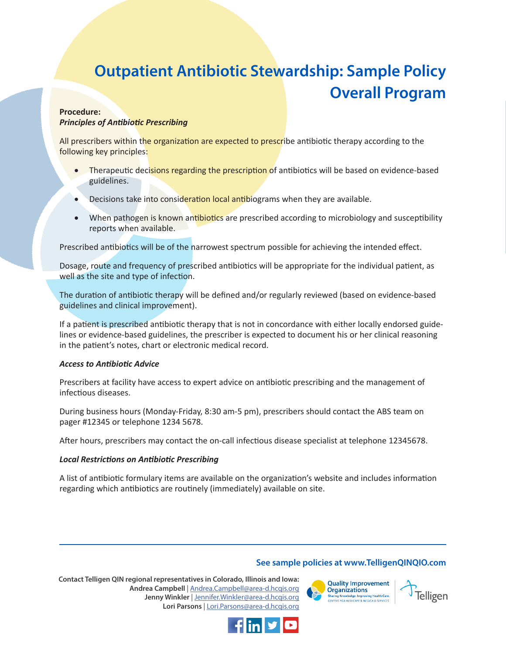# **Outpatient Antibiotic Stewardship: Sample Policy Overall Program**

### **Procedure:** *Principles of Antibiotic Prescribing*

All prescribers within the organization are expected to prescribe antibiotic therapy according to the following key principles:

- Therapeutic decisions regarding the prescription of antibiotics will be based on evidence-based guidelines.
- Decisions take into consideration local antibiograms when they are available.
- When pathogen is known antibiotics are prescribed according to microbiology and susceptibility reports when available.

Prescribed antibiotics will be of the narrowest spectrum possible for achieving the intended effect.

Dosage, route and frequency of prescribed antibiotics will be appropriate for the individual patient, as well as the site and type of infection.

The duration of antibiotic therapy will be defined and/or regularly reviewed (based on evidence-based guidelines and clinical improvement).

If a patient is prescribed antibiotic therapy that is not in concordance with either locally endorsed guidelines or evidence-based guidelines, the prescriber is expected to document his or her clinical reasoning in the patient's notes, chart or electronic medical record.

### *Access to Antibiotic Advice*

Prescribers at facility have access to expert advice on antibiotic prescribing and the management of infectious diseases.

During business hours (Monday-Friday, 8:30 am-5 pm), prescribers should contact the ABS team on pager #12345 or telephone 1234 5678.

After hours, prescribers may contact the on-call infectious disease specialist at telephone 12345678.

# *Local Restrictions on Antibiotic Prescribing*

A list of antibiotic formulary items are available on the organization's website and includes information regarding which antibiotics are routinely (immediately) available on site.

# **See sample policies at www.TelligenQINQIO.com**

**Health Care** 

**Contact Telligen QIN regional representatives in Colorado, Illinois and Iowa: Andrea Campbell** | Andrea.Campbell@area-d.hcqis.org **Jenny Winkler** | [Jennifer.Winkler@area-d.hcqis.org](mailto:Jennifer.Winkler%40area-d.hcqis.org?subject=) **Lori Parsons** | [Lori.Parsons@area-d.hcqis.org](mailto:Lori.Parsons%40area-d.hcqis.org?subject=)